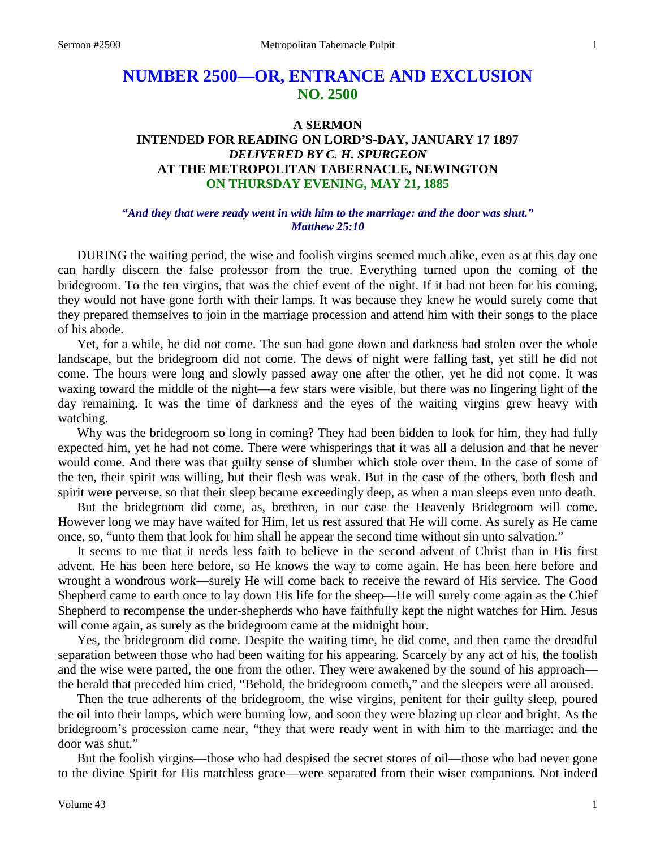# **NUMBER 2500—OR, ENTRANCE AND EXCLUSION NO. 2500**

# **A SERMON INTENDED FOR READING ON LORD'S-DAY, JANUARY 17 1897** *DELIVERED BY C. H. SPURGEON* **AT THE METROPOLITAN TABERNACLE, NEWINGTON ON THURSDAY EVENING, MAY 21, 1885**

## *"And they that were ready went in with him to the marriage: and the door was shut." Matthew 25:10*

DURING the waiting period, the wise and foolish virgins seemed much alike, even as at this day one can hardly discern the false professor from the true. Everything turned upon the coming of the bridegroom. To the ten virgins, that was the chief event of the night. If it had not been for his coming, they would not have gone forth with their lamps. It was because they knew he would surely come that they prepared themselves to join in the marriage procession and attend him with their songs to the place of his abode.

Yet, for a while, he did not come. The sun had gone down and darkness had stolen over the whole landscape, but the bridegroom did not come. The dews of night were falling fast, yet still he did not come. The hours were long and slowly passed away one after the other, yet he did not come. It was waxing toward the middle of the night—a few stars were visible, but there was no lingering light of the day remaining. It was the time of darkness and the eyes of the waiting virgins grew heavy with watching.

Why was the bridegroom so long in coming? They had been bidden to look for him, they had fully expected him, yet he had not come. There were whisperings that it was all a delusion and that he never would come. And there was that guilty sense of slumber which stole over them. In the case of some of the ten, their spirit was willing, but their flesh was weak. But in the case of the others, both flesh and spirit were perverse, so that their sleep became exceedingly deep, as when a man sleeps even unto death.

But the bridegroom did come, as, brethren, in our case the Heavenly Bridegroom will come. However long we may have waited for Him, let us rest assured that He will come. As surely as He came once, so, "unto them that look for him shall he appear the second time without sin unto salvation."

It seems to me that it needs less faith to believe in the second advent of Christ than in His first advent. He has been here before, so He knows the way to come again. He has been here before and wrought a wondrous work—surely He will come back to receive the reward of His service. The Good Shepherd came to earth once to lay down His life for the sheep—He will surely come again as the Chief Shepherd to recompense the under-shepherds who have faithfully kept the night watches for Him. Jesus will come again, as surely as the bridegroom came at the midnight hour.

Yes, the bridegroom did come. Despite the waiting time, he did come, and then came the dreadful separation between those who had been waiting for his appearing. Scarcely by any act of his, the foolish and the wise were parted, the one from the other. They were awakened by the sound of his approach the herald that preceded him cried, "Behold, the bridegroom cometh," and the sleepers were all aroused.

Then the true adherents of the bridegroom, the wise virgins, penitent for their guilty sleep, poured the oil into their lamps, which were burning low, and soon they were blazing up clear and bright. As the bridegroom's procession came near, "they that were ready went in with him to the marriage: and the door was shut."

But the foolish virgins—those who had despised the secret stores of oil—those who had never gone to the divine Spirit for His matchless grace—were separated from their wiser companions. Not indeed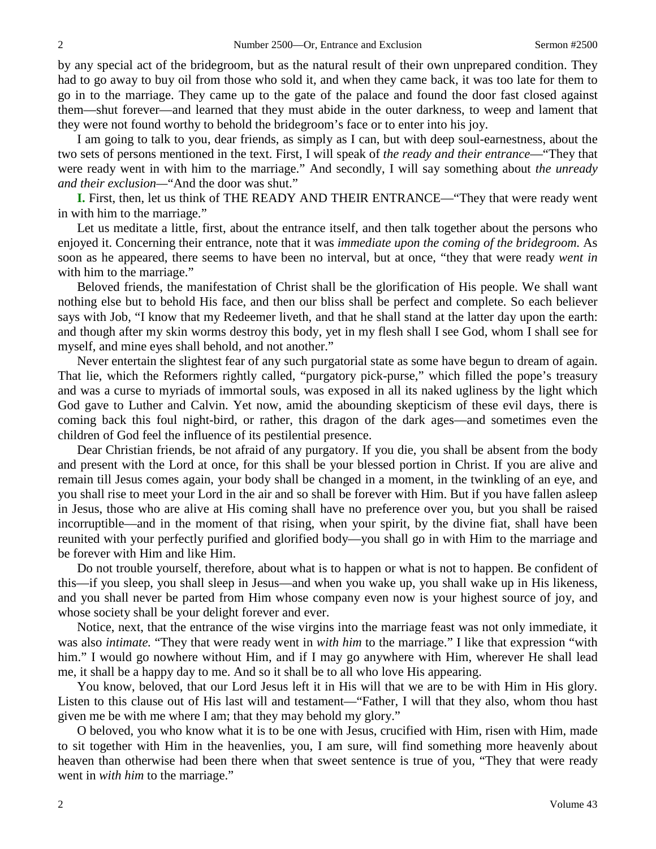by any special act of the bridegroom, but as the natural result of their own unprepared condition. They had to go away to buy oil from those who sold it, and when they came back, it was too late for them to go in to the marriage. They came up to the gate of the palace and found the door fast closed against them—shut forever—and learned that they must abide in the outer darkness, to weep and lament that they were not found worthy to behold the bridegroom's face or to enter into his joy.

I am going to talk to you, dear friends, as simply as I can, but with deep soul-earnestness, about the two sets of persons mentioned in the text. First, I will speak of *the ready and their entrance*—"They that were ready went in with him to the marriage." And secondly, I will say something about *the unready and their exclusion—*"And the door was shut."

**I.** First, then, let us think of THE READY AND THEIR ENTRANCE—"They that were ready went in with him to the marriage."

Let us meditate a little, first, about the entrance itself, and then talk together about the persons who enjoyed it. Concerning their entrance, note that it was *immediate upon the coming of the bridegroom.* As soon as he appeared, there seems to have been no interval, but at once, "they that were ready *went in*  with him to the marriage."

Beloved friends, the manifestation of Christ shall be the glorification of His people. We shall want nothing else but to behold His face, and then our bliss shall be perfect and complete. So each believer says with Job, "I know that my Redeemer liveth, and that he shall stand at the latter day upon the earth: and though after my skin worms destroy this body, yet in my flesh shall I see God, whom I shall see for myself, and mine eyes shall behold, and not another."

Never entertain the slightest fear of any such purgatorial state as some have begun to dream of again. That lie, which the Reformers rightly called, "purgatory pick-purse," which filled the pope's treasury and was a curse to myriads of immortal souls, was exposed in all its naked ugliness by the light which God gave to Luther and Calvin. Yet now, amid the abounding skepticism of these evil days, there is coming back this foul night-bird, or rather, this dragon of the dark ages—and sometimes even the children of God feel the influence of its pestilential presence.

Dear Christian friends, be not afraid of any purgatory. If you die, you shall be absent from the body and present with the Lord at once, for this shall be your blessed portion in Christ. If you are alive and remain till Jesus comes again, your body shall be changed in a moment, in the twinkling of an eye, and you shall rise to meet your Lord in the air and so shall be forever with Him. But if you have fallen asleep in Jesus, those who are alive at His coming shall have no preference over you, but you shall be raised incorruptible—and in the moment of that rising, when your spirit, by the divine fiat, shall have been reunited with your perfectly purified and glorified body—you shall go in with Him to the marriage and be forever with Him and like Him.

Do not trouble yourself, therefore, about what is to happen or what is not to happen. Be confident of this—if you sleep, you shall sleep in Jesus—and when you wake up, you shall wake up in His likeness, and you shall never be parted from Him whose company even now is your highest source of joy, and whose society shall be your delight forever and ever.

Notice, next, that the entrance of the wise virgins into the marriage feast was not only immediate, it was also *intimate.* "They that were ready went in *with him* to the marriage." I like that expression "with him." I would go nowhere without Him, and if I may go anywhere with Him, wherever He shall lead me, it shall be a happy day to me. And so it shall be to all who love His appearing.

You know, beloved, that our Lord Jesus left it in His will that we are to be with Him in His glory. Listen to this clause out of His last will and testament—"Father, I will that they also, whom thou hast given me be with me where I am; that they may behold my glory."

O beloved, you who know what it is to be one with Jesus, crucified with Him, risen with Him, made to sit together with Him in the heavenlies, you, I am sure, will find something more heavenly about heaven than otherwise had been there when that sweet sentence is true of you, "They that were ready went in *with him* to the marriage."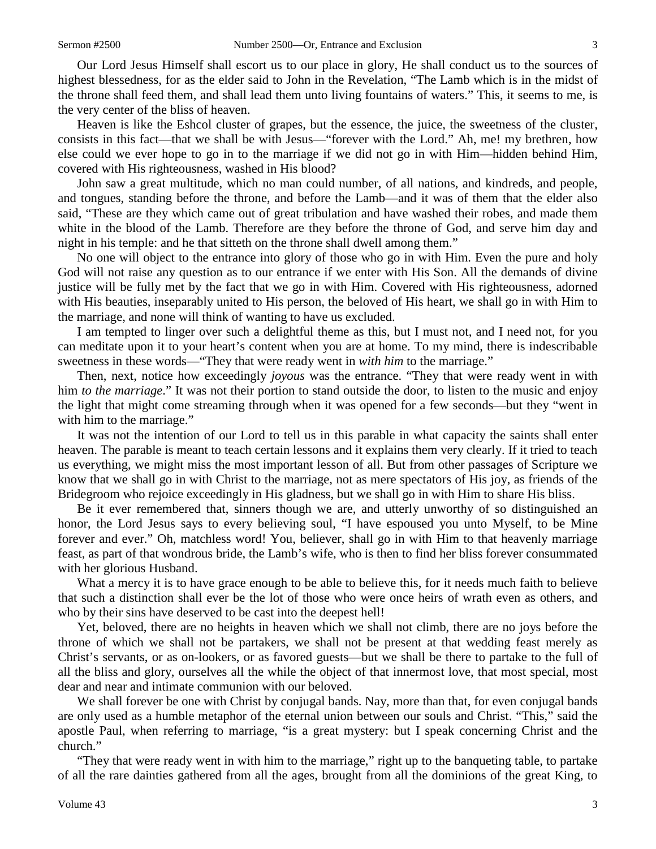Our Lord Jesus Himself shall escort us to our place in glory, He shall conduct us to the sources of highest blessedness, for as the elder said to John in the Revelation, "The Lamb which is in the midst of the throne shall feed them, and shall lead them unto living fountains of waters." This, it seems to me, is the very center of the bliss of heaven.

Heaven is like the Eshcol cluster of grapes, but the essence, the juice, the sweetness of the cluster, consists in this fact—that we shall be with Jesus—"forever with the Lord." Ah, me! my brethren, how else could we ever hope to go in to the marriage if we did not go in with Him—hidden behind Him, covered with His righteousness, washed in His blood?

John saw a great multitude, which no man could number, of all nations, and kindreds, and people, and tongues, standing before the throne, and before the Lamb—and it was of them that the elder also said, "These are they which came out of great tribulation and have washed their robes, and made them white in the blood of the Lamb. Therefore are they before the throne of God, and serve him day and night in his temple: and he that sitteth on the throne shall dwell among them."

No one will object to the entrance into glory of those who go in with Him. Even the pure and holy God will not raise any question as to our entrance if we enter with His Son. All the demands of divine justice will be fully met by the fact that we go in with Him. Covered with His righteousness, adorned with His beauties, inseparably united to His person, the beloved of His heart, we shall go in with Him to the marriage, and none will think of wanting to have us excluded.

I am tempted to linger over such a delightful theme as this, but I must not, and I need not, for you can meditate upon it to your heart's content when you are at home. To my mind, there is indescribable sweetness in these words—"They that were ready went in *with him* to the marriage."

Then, next, notice how exceedingly *joyous* was the entrance. "They that were ready went in with him *to the marriage*." It was not their portion to stand outside the door, to listen to the music and enjoy the light that might come streaming through when it was opened for a few seconds—but they "went in with him to the marriage."

It was not the intention of our Lord to tell us in this parable in what capacity the saints shall enter heaven. The parable is meant to teach certain lessons and it explains them very clearly. If it tried to teach us everything, we might miss the most important lesson of all. But from other passages of Scripture we know that we shall go in with Christ to the marriage, not as mere spectators of His joy, as friends of the Bridegroom who rejoice exceedingly in His gladness, but we shall go in with Him to share His bliss.

Be it ever remembered that, sinners though we are, and utterly unworthy of so distinguished an honor, the Lord Jesus says to every believing soul, "I have espoused you unto Myself, to be Mine forever and ever." Oh, matchless word! You, believer, shall go in with Him to that heavenly marriage feast, as part of that wondrous bride, the Lamb's wife, who is then to find her bliss forever consummated with her glorious Husband.

What a mercy it is to have grace enough to be able to believe this, for it needs much faith to believe that such a distinction shall ever be the lot of those who were once heirs of wrath even as others, and who by their sins have deserved to be cast into the deepest hell!

Yet, beloved, there are no heights in heaven which we shall not climb, there are no joys before the throne of which we shall not be partakers, we shall not be present at that wedding feast merely as Christ's servants, or as on-lookers, or as favored guests—but we shall be there to partake to the full of all the bliss and glory, ourselves all the while the object of that innermost love, that most special, most dear and near and intimate communion with our beloved.

We shall forever be one with Christ by conjugal bands. Nay, more than that, for even conjugal bands are only used as a humble metaphor of the eternal union between our souls and Christ. "This," said the apostle Paul, when referring to marriage, "is a great mystery: but I speak concerning Christ and the church."

"They that were ready went in with him to the marriage," right up to the banqueting table, to partake of all the rare dainties gathered from all the ages, brought from all the dominions of the great King, to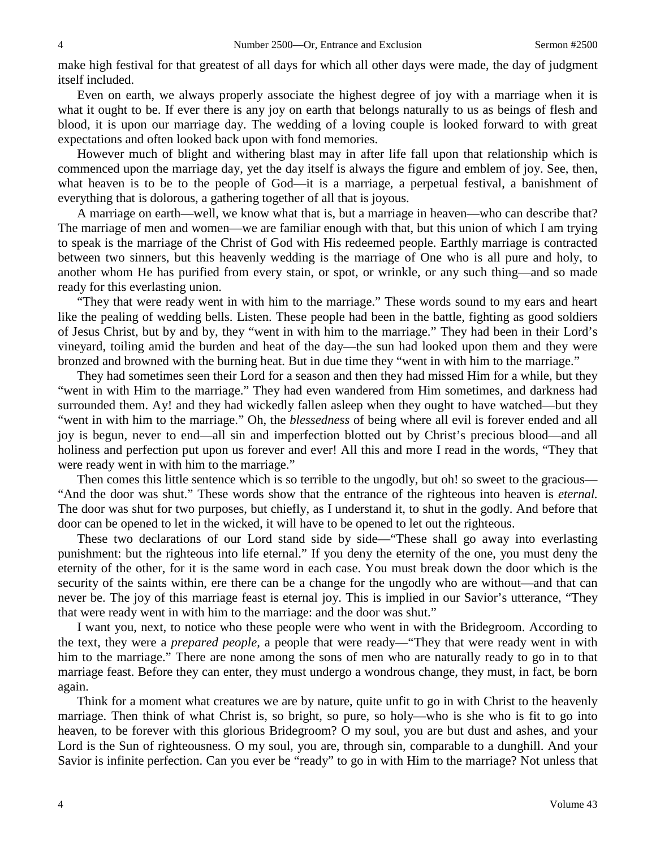make high festival for that greatest of all days for which all other days were made, the day of judgment itself included.

Even on earth, we always properly associate the highest degree of joy with a marriage when it is what it ought to be. If ever there is any joy on earth that belongs naturally to us as beings of flesh and blood, it is upon our marriage day. The wedding of a loving couple is looked forward to with great expectations and often looked back upon with fond memories.

However much of blight and withering blast may in after life fall upon that relationship which is commenced upon the marriage day, yet the day itself is always the figure and emblem of joy. See, then, what heaven is to be to the people of God—it is a marriage, a perpetual festival, a banishment of everything that is dolorous, a gathering together of all that is joyous.

A marriage on earth—well, we know what that is, but a marriage in heaven—who can describe that? The marriage of men and women—we are familiar enough with that, but this union of which I am trying to speak is the marriage of the Christ of God with His redeemed people. Earthly marriage is contracted between two sinners, but this heavenly wedding is the marriage of One who is all pure and holy, to another whom He has purified from every stain, or spot, or wrinkle, or any such thing—and so made ready for this everlasting union.

"They that were ready went in with him to the marriage." These words sound to my ears and heart like the pealing of wedding bells. Listen. These people had been in the battle, fighting as good soldiers of Jesus Christ, but by and by, they "went in with him to the marriage." They had been in their Lord's vineyard, toiling amid the burden and heat of the day—the sun had looked upon them and they were bronzed and browned with the burning heat. But in due time they "went in with him to the marriage."

They had sometimes seen their Lord for a season and then they had missed Him for a while, but they "went in with Him to the marriage." They had even wandered from Him sometimes, and darkness had surrounded them. Ay! and they had wickedly fallen asleep when they ought to have watched—but they "went in with him to the marriage." Oh, the *blessedness* of being where all evil is forever ended and all joy is begun, never to end—all sin and imperfection blotted out by Christ's precious blood—and all holiness and perfection put upon us forever and ever! All this and more I read in the words, "They that were ready went in with him to the marriage."

Then comes this little sentence which is so terrible to the ungodly, but oh! so sweet to the gracious— "And the door was shut." These words show that the entrance of the righteous into heaven is *eternal.*  The door was shut for two purposes, but chiefly, as I understand it, to shut in the godly. And before that door can be opened to let in the wicked, it will have to be opened to let out the righteous.

These two declarations of our Lord stand side by side—"These shall go away into everlasting punishment: but the righteous into life eternal." If you deny the eternity of the one, you must deny the eternity of the other, for it is the same word in each case. You must break down the door which is the security of the saints within, ere there can be a change for the ungodly who are without—and that can never be. The joy of this marriage feast is eternal joy. This is implied in our Savior's utterance, "They that were ready went in with him to the marriage: and the door was shut."

I want you, next, to notice who these people were who went in with the Bridegroom. According to the text, they were a *prepared people,* a people that were ready—"They that were ready went in with him to the marriage." There are none among the sons of men who are naturally ready to go in to that marriage feast. Before they can enter, they must undergo a wondrous change, they must, in fact, be born again.

Think for a moment what creatures we are by nature, quite unfit to go in with Christ to the heavenly marriage. Then think of what Christ is, so bright, so pure, so holy—who is she who is fit to go into heaven, to be forever with this glorious Bridegroom? O my soul, you are but dust and ashes, and your Lord is the Sun of righteousness. O my soul, you are, through sin, comparable to a dunghill. And your Savior is infinite perfection. Can you ever be "ready" to go in with Him to the marriage? Not unless that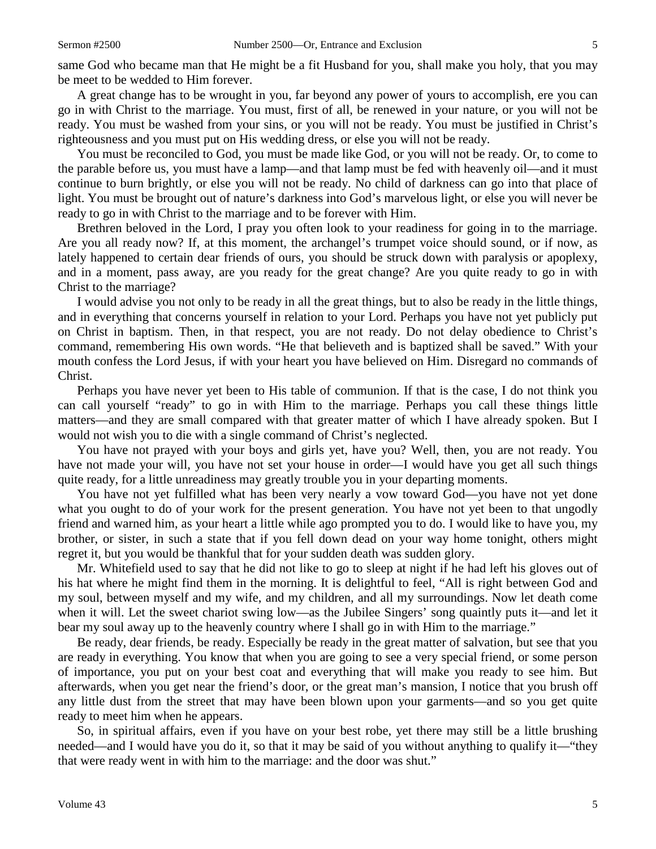same God who became man that He might be a fit Husband for you, shall make you holy, that you may be meet to be wedded to Him forever.

A great change has to be wrought in you, far beyond any power of yours to accomplish, ere you can go in with Christ to the marriage. You must, first of all, be renewed in your nature, or you will not be ready. You must be washed from your sins, or you will not be ready. You must be justified in Christ's righteousness and you must put on His wedding dress, or else you will not be ready.

You must be reconciled to God, you must be made like God, or you will not be ready. Or, to come to the parable before us, you must have a lamp—and that lamp must be fed with heavenly oil—and it must continue to burn brightly, or else you will not be ready. No child of darkness can go into that place of light. You must be brought out of nature's darkness into God's marvelous light, or else you will never be ready to go in with Christ to the marriage and to be forever with Him.

Brethren beloved in the Lord, I pray you often look to your readiness for going in to the marriage. Are you all ready now? If, at this moment, the archangel's trumpet voice should sound, or if now, as lately happened to certain dear friends of ours, you should be struck down with paralysis or apoplexy, and in a moment, pass away, are you ready for the great change? Are you quite ready to go in with Christ to the marriage?

I would advise you not only to be ready in all the great things, but to also be ready in the little things, and in everything that concerns yourself in relation to your Lord. Perhaps you have not yet publicly put on Christ in baptism. Then, in that respect, you are not ready. Do not delay obedience to Christ's command, remembering His own words. "He that believeth and is baptized shall be saved." With your mouth confess the Lord Jesus, if with your heart you have believed on Him. Disregard no commands of Christ.

Perhaps you have never yet been to His table of communion. If that is the case, I do not think you can call yourself "ready" to go in with Him to the marriage. Perhaps you call these things little matters—and they are small compared with that greater matter of which I have already spoken. But I would not wish you to die with a single command of Christ's neglected.

You have not prayed with your boys and girls yet, have you? Well, then, you are not ready. You have not made your will, you have not set your house in order—I would have you get all such things quite ready, for a little unreadiness may greatly trouble you in your departing moments.

You have not yet fulfilled what has been very nearly a vow toward God—you have not yet done what you ought to do of your work for the present generation. You have not yet been to that ungodly friend and warned him, as your heart a little while ago prompted you to do. I would like to have you, my brother, or sister, in such a state that if you fell down dead on your way home tonight, others might regret it, but you would be thankful that for your sudden death was sudden glory.

Mr. Whitefield used to say that he did not like to go to sleep at night if he had left his gloves out of his hat where he might find them in the morning. It is delightful to feel, "All is right between God and my soul, between myself and my wife, and my children, and all my surroundings. Now let death come when it will. Let the sweet chariot swing low—as the Jubilee Singers' song quaintly puts it—and let it bear my soul away up to the heavenly country where I shall go in with Him to the marriage."

Be ready, dear friends, be ready. Especially be ready in the great matter of salvation, but see that you are ready in everything. You know that when you are going to see a very special friend, or some person of importance, you put on your best coat and everything that will make you ready to see him. But afterwards, when you get near the friend's door, or the great man's mansion, I notice that you brush off any little dust from the street that may have been blown upon your garments—and so you get quite ready to meet him when he appears.

So, in spiritual affairs, even if you have on your best robe, yet there may still be a little brushing needed—and I would have you do it, so that it may be said of you without anything to qualify it—"they that were ready went in with him to the marriage: and the door was shut."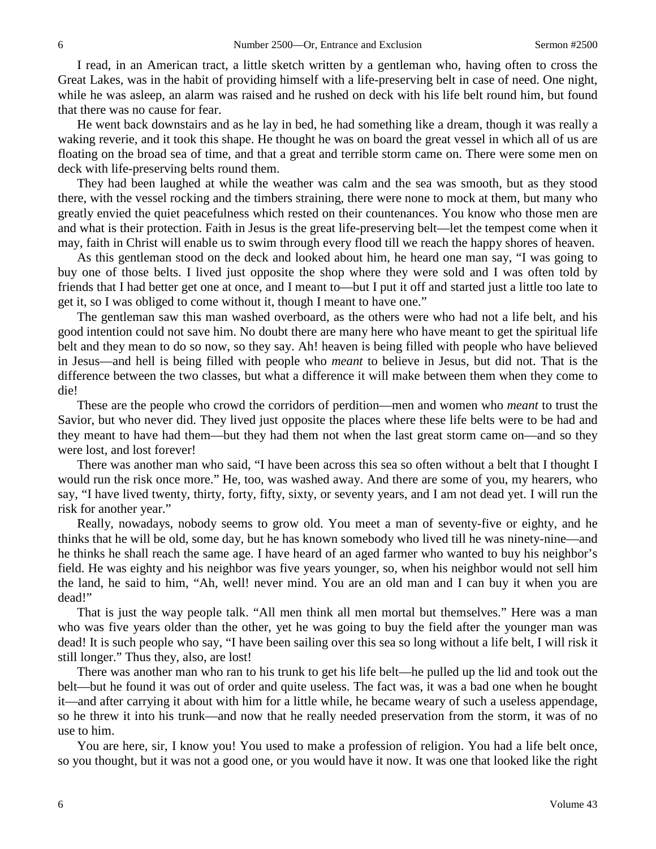I read, in an American tract, a little sketch written by a gentleman who, having often to cross the Great Lakes, was in the habit of providing himself with a life-preserving belt in case of need. One night, while he was asleep, an alarm was raised and he rushed on deck with his life belt round him, but found that there was no cause for fear.

He went back downstairs and as he lay in bed, he had something like a dream, though it was really a waking reverie, and it took this shape. He thought he was on board the great vessel in which all of us are floating on the broad sea of time, and that a great and terrible storm came on. There were some men on deck with life-preserving belts round them.

They had been laughed at while the weather was calm and the sea was smooth, but as they stood there, with the vessel rocking and the timbers straining, there were none to mock at them, but many who greatly envied the quiet peacefulness which rested on their countenances. You know who those men are and what is their protection. Faith in Jesus is the great life-preserving belt—let the tempest come when it may, faith in Christ will enable us to swim through every flood till we reach the happy shores of heaven.

As this gentleman stood on the deck and looked about him, he heard one man say, "I was going to buy one of those belts. I lived just opposite the shop where they were sold and I was often told by friends that I had better get one at once, and I meant to—but I put it off and started just a little too late to get it, so I was obliged to come without it, though I meant to have one."

The gentleman saw this man washed overboard, as the others were who had not a life belt, and his good intention could not save him. No doubt there are many here who have meant to get the spiritual life belt and they mean to do so now, so they say. Ah! heaven is being filled with people who have believed in Jesus—and hell is being filled with people who *meant* to believe in Jesus, but did not. That is the difference between the two classes, but what a difference it will make between them when they come to die!

These are the people who crowd the corridors of perdition—men and women who *meant* to trust the Savior, but who never did. They lived just opposite the places where these life belts were to be had and they meant to have had them—but they had them not when the last great storm came on—and so they were lost, and lost forever!

There was another man who said, "I have been across this sea so often without a belt that I thought I would run the risk once more." He, too, was washed away. And there are some of you, my hearers, who say, "I have lived twenty, thirty, forty, fifty, sixty, or seventy years, and I am not dead yet. I will run the risk for another year."

Really, nowadays, nobody seems to grow old. You meet a man of seventy-five or eighty, and he thinks that he will be old, some day, but he has known somebody who lived till he was ninety-nine—and he thinks he shall reach the same age. I have heard of an aged farmer who wanted to buy his neighbor's field. He was eighty and his neighbor was five years younger, so, when his neighbor would not sell him the land, he said to him, "Ah, well! never mind. You are an old man and I can buy it when you are dead!"

That is just the way people talk. "All men think all men mortal but themselves." Here was a man who was five years older than the other, yet he was going to buy the field after the younger man was dead! It is such people who say, "I have been sailing over this sea so long without a life belt, I will risk it still longer." Thus they, also, are lost!

There was another man who ran to his trunk to get his life belt—he pulled up the lid and took out the belt—but he found it was out of order and quite useless. The fact was, it was a bad one when he bought it—and after carrying it about with him for a little while, he became weary of such a useless appendage, so he threw it into his trunk—and now that he really needed preservation from the storm, it was of no use to him.

You are here, sir, I know you! You used to make a profession of religion. You had a life belt once, so you thought, but it was not a good one, or you would have it now. It was one that looked like the right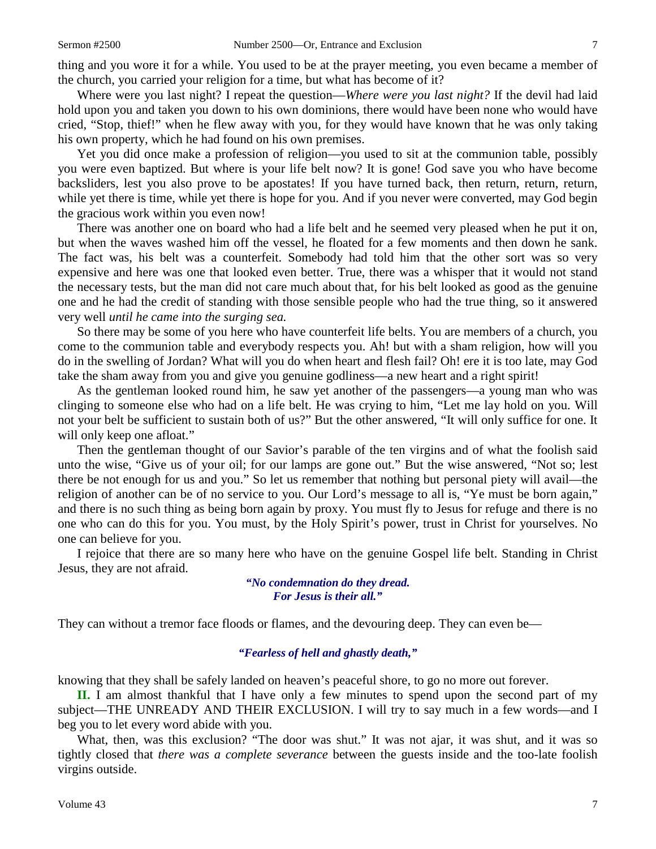Where were you last night? I repeat the question—*Where were you last night?* If the devil had laid hold upon you and taken you down to his own dominions, there would have been none who would have cried, "Stop, thief!" when he flew away with you, for they would have known that he was only taking his own property, which he had found on his own premises.

Yet you did once make a profession of religion—you used to sit at the communion table, possibly you were even baptized. But where is your life belt now? It is gone! God save you who have become backsliders, lest you also prove to be apostates! If you have turned back, then return, return, return, while yet there is time, while yet there is hope for you. And if you never were converted, may God begin the gracious work within you even now!

There was another one on board who had a life belt and he seemed very pleased when he put it on, but when the waves washed him off the vessel, he floated for a few moments and then down he sank. The fact was, his belt was a counterfeit. Somebody had told him that the other sort was so very expensive and here was one that looked even better. True, there was a whisper that it would not stand the necessary tests, but the man did not care much about that, for his belt looked as good as the genuine one and he had the credit of standing with those sensible people who had the true thing, so it answered very well *until he came into the surging sea.* 

So there may be some of you here who have counterfeit life belts. You are members of a church, you come to the communion table and everybody respects you. Ah! but with a sham religion, how will you do in the swelling of Jordan? What will you do when heart and flesh fail? Oh! ere it is too late, may God take the sham away from you and give you genuine godliness—a new heart and a right spirit!

As the gentleman looked round him, he saw yet another of the passengers—a young man who was clinging to someone else who had on a life belt. He was crying to him, "Let me lay hold on you. Will not your belt be sufficient to sustain both of us?" But the other answered, "It will only suffice for one. It will only keep one afloat."

Then the gentleman thought of our Savior's parable of the ten virgins and of what the foolish said unto the wise, "Give us of your oil; for our lamps are gone out." But the wise answered, "Not so; lest there be not enough for us and you." So let us remember that nothing but personal piety will avail—the religion of another can be of no service to you. Our Lord's message to all is, "Ye must be born again," and there is no such thing as being born again by proxy. You must fly to Jesus for refuge and there is no one who can do this for you. You must, by the Holy Spirit's power, trust in Christ for yourselves. No one can believe for you.

I rejoice that there are so many here who have on the genuine Gospel life belt. Standing in Christ Jesus, they are not afraid.

> *"No condemnation do they dread. For Jesus is their all."*

They can without a tremor face floods or flames, and the devouring deep. They can even be—

#### *"Fearless of hell and ghastly death,"*

knowing that they shall be safely landed on heaven's peaceful shore, to go no more out forever.

**II.** I am almost thankful that I have only a few minutes to spend upon the second part of my subject—THE UNREADY AND THEIR EXCLUSION. I will try to say much in a few words—and I beg you to let every word abide with you.

What, then, was this exclusion? "The door was shut." It was not ajar, it was shut, and it was so tightly closed that *there was a complete severance* between the guests inside and the too-late foolish virgins outside.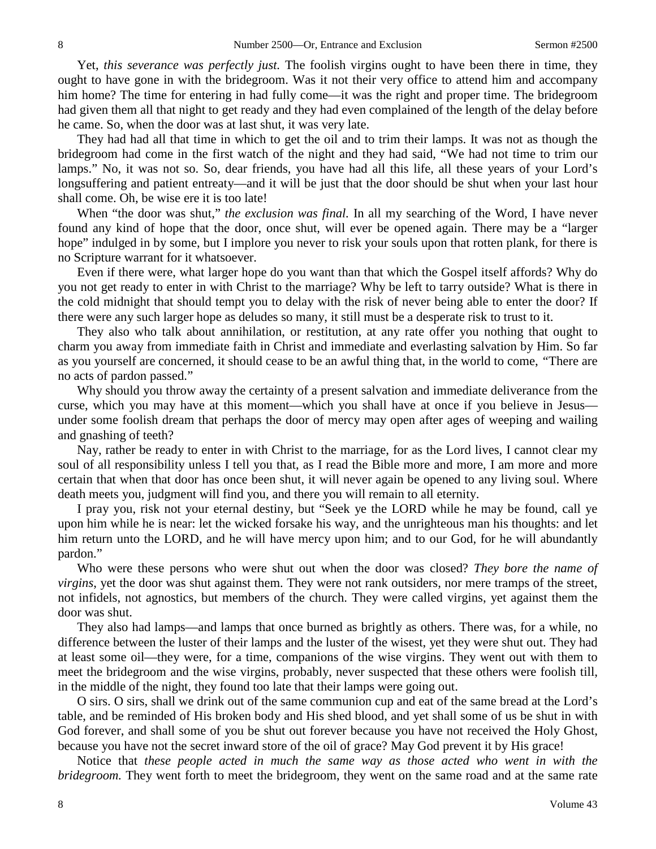Yet, *this severance was perfectly just.* The foolish virgins ought to have been there in time, they ought to have gone in with the bridegroom. Was it not their very office to attend him and accompany him home? The time for entering in had fully come—it was the right and proper time. The bridegroom had given them all that night to get ready and they had even complained of the length of the delay before he came. So, when the door was at last shut, it was very late.

They had had all that time in which to get the oil and to trim their lamps. It was not as though the bridegroom had come in the first watch of the night and they had said, "We had not time to trim our lamps." No, it was not so. So, dear friends, you have had all this life, all these years of your Lord's longsuffering and patient entreaty—and it will be just that the door should be shut when your last hour shall come. Oh, be wise ere it is too late!

When "the door was shut," *the exclusion was final.* In all my searching of the Word, I have never found any kind of hope that the door, once shut, will ever be opened again. There may be a "larger hope" indulged in by some, but I implore you never to risk your souls upon that rotten plank, for there is no Scripture warrant for it whatsoever.

Even if there were, what larger hope do you want than that which the Gospel itself affords? Why do you not get ready to enter in with Christ to the marriage? Why be left to tarry outside? What is there in the cold midnight that should tempt you to delay with the risk of never being able to enter the door? If there were any such larger hope as deludes so many, it still must be a desperate risk to trust to it.

They also who talk about annihilation, or restitution, at any rate offer you nothing that ought to charm you away from immediate faith in Christ and immediate and everlasting salvation by Him. So far as you yourself are concerned, it should cease to be an awful thing that, in the world to come, *"*There are no acts of pardon passed."

Why should you throw away the certainty of a present salvation and immediate deliverance from the curse, which you may have at this moment—which you shall have at once if you believe in Jesus under some foolish dream that perhaps the door of mercy may open after ages of weeping and wailing and gnashing of teeth?

Nay, rather be ready to enter in with Christ to the marriage, for as the Lord lives, I cannot clear my soul of all responsibility unless I tell you that, as I read the Bible more and more, I am more and more certain that when that door has once been shut, it will never again be opened to any living soul. Where death meets you, judgment will find you, and there you will remain to all eternity.

I pray you, risk not your eternal destiny, but "Seek ye the LORD while he may be found, call ye upon him while he is near: let the wicked forsake his way, and the unrighteous man his thoughts: and let him return unto the LORD, and he will have mercy upon him; and to our God, for he will abundantly pardon."

Who were these persons who were shut out when the door was closed? *They bore the name of virgins*, yet the door was shut against them. They were not rank outsiders, nor mere tramps of the street, not infidels, not agnostics, but members of the church. They were called virgins, yet against them the door was shut.

They also had lamps—and lamps that once burned as brightly as others. There was, for a while, no difference between the luster of their lamps and the luster of the wisest, yet they were shut out. They had at least some oil—they were, for a time, companions of the wise virgins. They went out with them to meet the bridegroom and the wise virgins, probably, never suspected that these others were foolish till, in the middle of the night, they found too late that their lamps were going out.

O sirs. O sirs, shall we drink out of the same communion cup and eat of the same bread at the Lord's table, and be reminded of His broken body and His shed blood, and yet shall some of us be shut in with God forever, and shall some of you be shut out forever because you have not received the Holy Ghost, because you have not the secret inward store of the oil of grace? May God prevent it by His grace!

Notice that *these people acted in much the same way as those acted who went in with the bridegroom.* They went forth to meet the bridegroom, they went on the same road and at the same rate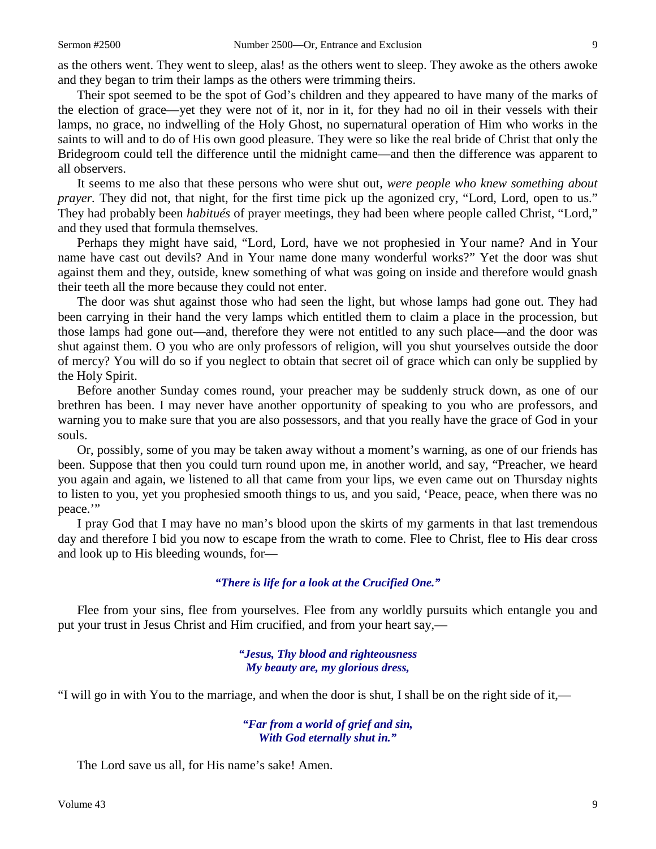as the others went. They went to sleep, alas! as the others went to sleep. They awoke as the others awoke and they began to trim their lamps as the others were trimming theirs.

Their spot seemed to be the spot of God's children and they appeared to have many of the marks of the election of grace—yet they were not of it, nor in it, for they had no oil in their vessels with their lamps, no grace, no indwelling of the Holy Ghost, no supernatural operation of Him who works in the saints to will and to do of His own good pleasure. They were so like the real bride of Christ that only the Bridegroom could tell the difference until the midnight came—and then the difference was apparent to all observers.

It seems to me also that these persons who were shut out, *were people who knew something about prayer.* They did not, that night, for the first time pick up the agonized cry, "Lord, Lord, open to us." They had probably been *habitués* of prayer meetings, they had been where people called Christ, "Lord," and they used that formula themselves.

Perhaps they might have said, "Lord, Lord, have we not prophesied in Your name? And in Your name have cast out devils? And in Your name done many wonderful works?" Yet the door was shut against them and they, outside, knew something of what was going on inside and therefore would gnash their teeth all the more because they could not enter.

The door was shut against those who had seen the light, but whose lamps had gone out. They had been carrying in their hand the very lamps which entitled them to claim a place in the procession, but those lamps had gone out—and, therefore they were not entitled to any such place—and the door was shut against them. O you who are only professors of religion, will you shut yourselves outside the door of mercy? You will do so if you neglect to obtain that secret oil of grace which can only be supplied by the Holy Spirit.

Before another Sunday comes round, your preacher may be suddenly struck down, as one of our brethren has been. I may never have another opportunity of speaking to you who are professors, and warning you to make sure that you are also possessors, and that you really have the grace of God in your souls.

Or, possibly, some of you may be taken away without a moment's warning, as one of our friends has been. Suppose that then you could turn round upon me, in another world, and say, "Preacher, we heard you again and again, we listened to all that came from your lips, we even came out on Thursday nights to listen to you, yet you prophesied smooth things to us, and you said, 'Peace, peace, when there was no peace."

I pray God that I may have no man's blood upon the skirts of my garments in that last tremendous day and therefore I bid you now to escape from the wrath to come. Flee to Christ, flee to His dear cross and look up to His bleeding wounds, for—

### *"There is life for a look at the Crucified One."*

Flee from your sins, flee from yourselves. Flee from any worldly pursuits which entangle you and put your trust in Jesus Christ and Him crucified, and from your heart say,—

> *"Jesus, Thy blood and righteousness My beauty are, my glorious dress,*

"I will go in with You to the marriage, and when the door is shut, I shall be on the right side of it,—

*"Far from a world of grief and sin, With God eternally shut in."*

The Lord save us all, for His name's sake! Amen.